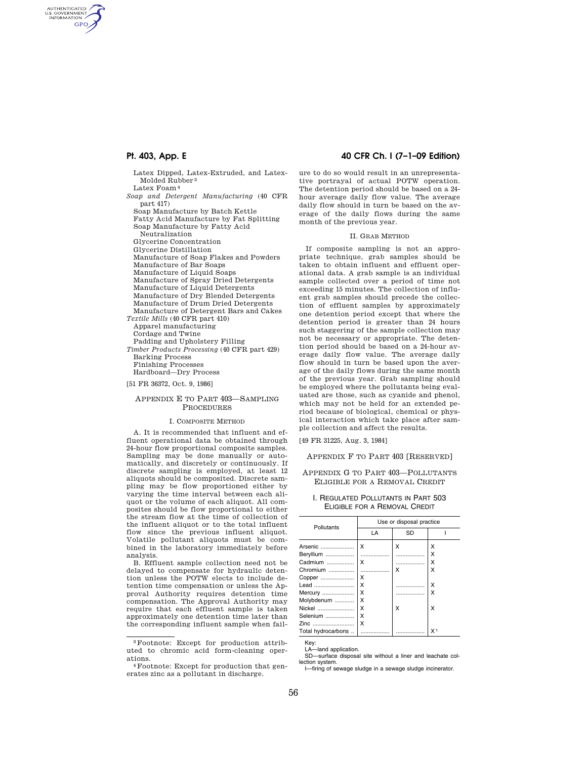AUTHENTICATED<br>U.S. GOVERNMENT<br>INFORMATION **GPO** 

> Latex Dipped, Latex-Extruded, and Latex-Molded Rubber 3 Latex Foam4

*Soap and Detergent Manufacturing* (40 CFR part 417)

Soap Manufacture by Batch Kettle

Fatty Acid Manufacture by Fat Splitting Soap Manufacture by Fatty Acid Neutralization

Glycerine Concentration

Glycerine Distillation

Manufacture of Soap Flakes and Powders

- Manufacture of Bar Soaps
- Manufacture of Liquid Soaps

Manufacture of Spray Dried Detergents

Manufacture of Liquid Detergents

Manufacture of Dry Blended Detergents

Manufacture of Drum Dried Detergents

Manufacture of Detergent Bars and Cakes

*Textile Mills* (40 CFR part 410) Apparel manufacturing

Cordage and Twine

Padding and Upholstery Filling

*Timber Products Processing* (40 CFR part 429) Barking Process

Finishing Processes Hardboard—Dry Process

[51 FR 36372, Oct. 9, 1986]

### APPENDIX E TO PART 403—SAMPLING PROCEDURES

### I. COMPOSITE METHOD

A. It is recommended that influent and effluent operational data be obtained through 24-hour flow proportional composite samples. Sampling may be done manually or automatically, and discretely or continuously. If discrete sampling is employed, at least 12 aliquots should be composited. Discrete sampling may be flow proportioned either by varying the time interval between each aliquot or the volume of each aliquot. All composites should be flow proportional to either the stream flow at the time of collection of the influent aliquot or to the total influent flow since the previous influent aliquot. Volatile pollutant aliquots must be combined in the laboratory immediately before analysis.

B. Effluent sample collection need not be delayed to compensate for hydraulic detention unless the POTW elects to include detention time compensation or unless the Approval Authority requires detention time compensation. The Approval Authority may require that each effluent sample is taken approximately one detention time later than the corresponding influent sample when fail-

3Footnote: Except for production attributed to chromic acid form-cleaning oper-

## **Pt. 403, App. E 40 CFR Ch. I (7–1–09 Edition)**

ure to do so would result in an unrepresentative portrayal of actual POTW operation. The detention period should be based on a 24 hour average daily flow value. The average daily flow should in turn be based on the average of the daily flows during the same month of the previous year.

### II. GRAB METHOD

If composite sampling is not an appropriate technique, grab samples should be taken to obtain influent and effluent operational data. A grab sample is an individual sample collected over a period of time not exceeding 15 minutes. The collection of influent grab samples should precede the collection of effluent samples by approximately one detention period except that where the detention period is greater than 24 hours such staggering of the sample collection may not be necessary or appropriate. The detention period should be based on a 24-hour average daily flow value. The average daily flow should in turn be based upon the average of the daily flows during the same month of the previous year. Grab sampling should be employed where the pollutants being evaluated are those, such as cyanide and phenol, which may not be held for an extended period because of biological, chemical or physical interaction which take place after sample collection and affect the results.

[49 FR 31225, Aug. 3, 1984]

APPENDIX F TO PART 403 [RESERVED]

## APPENDIX G TO PART 403—POLLUTANTS ELIGIBLE FOR A REMOVAL CREDIT

### I. REGULATED POLLUTANTS IN PART 503 ELIGIBLE FOR A REMOVAL CREDIT

| Pollutants         | Use or disposal practice |    |                |  |
|--------------------|--------------------------|----|----------------|--|
|                    | LA                       | SD |                |  |
| Arsenic            | x                        | x  | x              |  |
| Beryllium          |                          |    | x              |  |
| Cadmium            | x                        | .  | x              |  |
| Chromium           | .                        | x  | x              |  |
| Copper             | x                        |    |                |  |
| Lead               | x                        |    | X              |  |
| Mercury            | X                        | .  | x              |  |
| Molybdenum         | x                        |    |                |  |
| Nickel             | X                        | x  | X              |  |
| Selenium           | X                        |    |                |  |
| Zinc               | x                        |    |                |  |
| Total hydrocarbons |                          |    | X <sub>1</sub> |  |

Key: LA—land application.

SD—surface disposal site without a liner and leachate collection system.

I—firing of sewage sludge in a sewage sludge incinerator.

 $4$ Footnote: Except for production that generates zinc as a pollutant in discharge.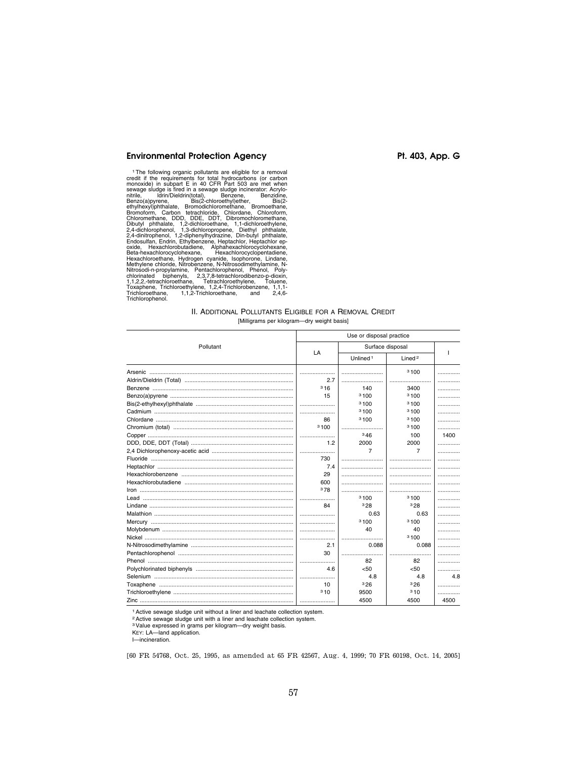# Environmental Protection Agency **Pt. 403, App. G**

<sup>1</sup>The following organic pollutants are eligible for a removal<br>credit if the requirements for total hydrocarbons (or carbon<br>monoxide) in subpart E in 40 CFR Part 503 are met when<br>sewage sludge is fired in a sewage sludge i

## II. ADDITIONAL POLLUTANTS ELIGIBLE FOR A REMOVAL CREDIT [Milligrams per kilogram—dry weight basis]

|                                                | Use or disposal practice |                      |                    |      |
|------------------------------------------------|--------------------------|----------------------|--------------------|------|
| Pollutant                                      | LA                       | Surface disposal     |                    |      |
|                                                |                          | Unlined <sup>1</sup> | Lined <sup>2</sup> |      |
|                                                |                          |                      | 3100               | .    |
|                                                | 2.7                      |                      |                    |      |
|                                                | 316                      | 140                  | 3400               | .    |
|                                                | 15                       | 3100                 | 3100               |      |
|                                                |                          | 3100                 | 3100               | .    |
|                                                |                          | 3100                 | 3100               | .    |
|                                                | 86                       | 3100                 | 3100               | .    |
|                                                | 3100                     |                      | 3100               | .    |
|                                                |                          | 346                  | 100                | 1400 |
|                                                | 1.2                      | 2000                 | 2000               | .    |
|                                                |                          | 7                    | $\overline{7}$     |      |
|                                                | 730                      |                      |                    |      |
|                                                | 7.4                      |                      |                    | .    |
|                                                | 29                       |                      |                    |      |
|                                                | 600                      |                      |                    |      |
| <u> Iron ………………………………………………………………………………………</u> | 378                      |                      |                    | .    |
|                                                |                          | 3100                 | 3100               | .    |
|                                                | 84                       | 328                  | 328                | .    |
|                                                |                          | 0.63                 | 0.63               |      |
|                                                |                          | 3100                 | 3100               | .    |
|                                                |                          | 40                   | 40                 | .    |
|                                                |                          |                      | 3100               | .    |
|                                                | 2.1                      | 0.088                | 0.088              | .    |
|                                                | 30                       |                      |                    |      |
|                                                |                          | 82                   | 82                 | .    |
|                                                | 4.6                      | < 50                 | < 50               | .    |
|                                                |                          | 4.8                  | 4.8                | 4.8  |
|                                                | 10                       | 326                  | 326                | .    |
|                                                | 310                      | 9500                 | 310                | .    |
|                                                |                          | 4500                 | 4500               | 4500 |

1Active sewage sludge unit without a liner and leachate collection system.

2Active sewage sludge unit with a liner and leachate collection system.

3Value expressed in grams per kilogram—dry weight basis. KEY: LA—land application.

I—incineration.

[60 FR 54768, Oct. 25, 1995, as amended at 65 FR 42567, Aug. 4, 1999; 70 FR 60198, Oct. 14, 2005]